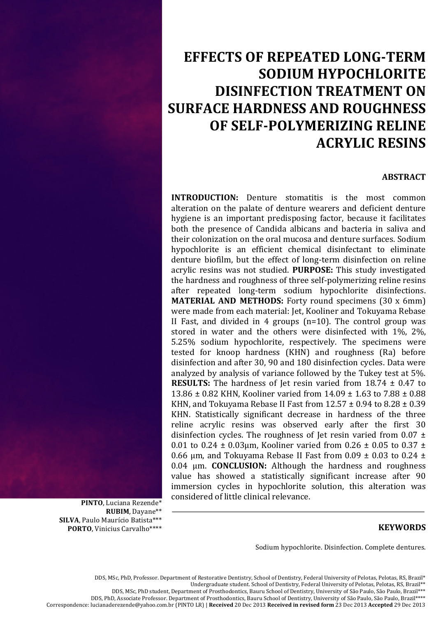# **EFFECTS OF REPEATED LONG-TERM SODIUM HYPOCHLORITE DISINFECTION TREATMENT ON SURFACE HARDNESS AND ROUGHNESS** OF SELF-POLYMERIZING RELINE **ACRYLIC RESINS**

## **ABSTRACT**

**INTRODUCTION:** Denture stomatitis is the most common alteration on the palate of denture wearers and deficient denture hygiene is an important predisposing factor, because it facilitates both the presence of Candida albicans and bacteria in saliva and their colonization on the oral mucosa and denture surfaces. Sodium hypochlorite is an efficient chemical disinfectant to eliminate denture biofilm, but the effect of long-term disinfection on reline acrylic resins was not studied. PURPOSE: This study investigated the hardness and roughness of three self-polymerizing reline resins after repeated long-term sodium hypochlorite disinfections. **MATERIAL AND METHODS:** Forty round specimens (30 x 6mm) were made from each material: Jet, Kooliner and Tokuyama Rebase II Fast, and divided in 4 groups ( $n=10$ ). The control group was stored in water and the others were disinfected with 1%, 2%, 5.25% sodium hypochlorite, respectively. The specimens were tested for knoop hardness (KHN) and roughness (Ra) before disinfection and after 30, 90 and 180 disinfection cycles. Data were analyzed by analysis of variance followed by the Tukey test at 5%. **RESULTS:** The hardness of let resin varied from  $18.74 \pm 0.47$  to 13.86 ± 0.82 KHN, Kooliner varied from 14.09 ± 1.63 to 7.88 ± 0.88 KHN, and Tokuyama Rebase II Fast from  $12.57 \pm 0.94$  to  $8.28 \pm 0.39$ KHN. Statistically significant decrease in hardness of the three reline acrylic resins was observed early after the first 30 disinfection cycles. The roughness of Jet resin varied from  $0.07 \pm$ 0.01 to 0.24  $\pm$  0.03µm, Kooliner varied from 0.26  $\pm$  0.05 to 0.37  $\pm$ 0.66  $\mu$ m, and Tokuyama Rebase II Fast from 0.09  $\pm$  0.03 to 0.24  $\pm$ 0.04 µm. CONCLUSION: Although the hardness and roughness value has showed a statistically significant increase after 90 immersion cycles in hypochlorite solution, this alteration was considered of little clinical relevance.

PINTO, Luciana Rezende\* RUBIM. Davane\*\* SILVA, Paulo Maurício Batista\*\*\* **PORTO.** Vinicius Carvalho\*\*\*\*

### **KEYWORDS**

Sodium hypochlorite. Disinfection. Complete dentures.

DDS, MSc, PhD, Professor. Department of Restorative Dentistry, School of Dentistry, Federal University of Pelotas, Pelotas, RS, Brazil\* Undergraduate student. School of Dentistry, Federal University of Pelotas, Pelotas, RS, Brazil\*\* DDS, MSc, PhD student, Department of Prosthodontics, Bauru School of Dentistry, University of São Paulo, São Paulo, Brazil\*\*\* DDS, PhD, Associate Professor. Department of Prosthodontics, Bauru School of Dentistry, University of São Paulo, São Paulo, Brazil\*\*\*\* Correspondence: lucianaderezende@yahoo.com.br (PINTO LR) | Received 20 Dec 2013 Received in revised form 23 Dec 2013 Accepted 29 Dec 2013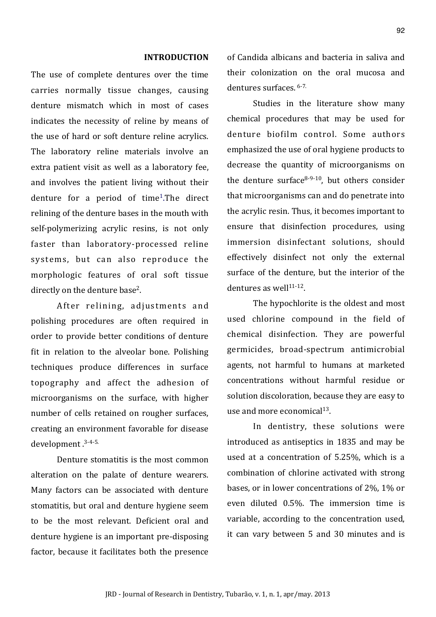#### **INTRODUCTION**

The use of complete dentures over the time carries normally tissue changes, causing denture mismatch which in most of cases indicates the necessity of reline by means of the use of hard or soft denture reline acrylics. The laboratory reline materials involve an extra patient visit as well as a laboratory fee. and involves the patient living without their denture for a period of time<sup>1</sup>. The direct relining of the denture bases in the mouth with self-polymerizing acrylic resins, is not only faster than laboratory-processed reline systems, but can also reproduce the morphologic features of oral soft tissue directly on the denture base<sup>2</sup>.

After relining, adjustments and polishing procedures are often required in order to provide better conditions of denture fit in relation to the alveolar bone. Polishing techniques produce differences in surface topography and affect the adhesion of microorganisms on the surface, with higher number of cells retained on rougher surfaces, creating an environment favorable for disease development.<sup>3-4-5.</sup>

Denture stomatitis is the most common alteration on the palate of denture wearers. Many factors can be associated with denture stomatitis, but oral and denture hygiene seem to be the most relevant. Deficient oral and denture hygiene is an important pre-disposing factor, because it facilitates both the presence of Candida albicans and bacteria in saliva and their colonization on the oral mucosa and dentures surfaces. 6-7.

Studies in the literature show many chemical procedures that may be used for denture biofilm control. Some authors emphasized the use of oral hygiene products to decrease the quantity of microorganisms on the denture surface  $8-9-10$ , but others consider that microorganisms can and do penetrate into the acrylic resin. Thus, it becomes important to ensure that disinfection procedures, using immersion disinfectant solutions, should effectively disinfect not only the external surface of the denture, but the interior of the dentures as well $11-12$ .

The hypochlorite is the oldest and most used chlorine compound in the field of chemical disinfection. They are powerful germicides, broad-spectrum antimicrobial agents, not harmful to humans at marketed concentrations without harmful residue or solution discoloration, because they are easy to use and more economical<sup>13</sup>.

In dentistry, these solutions were introduced as antiseptics in 1835 and may be used at a concentration of 5.25%, which is a combination of chlorine activated with strong bases, or in lower concentrations of 2%, 1% or even diluted 0.5%. The immersion time is variable, according to the concentration used, it can vary between 5 and 30 minutes and is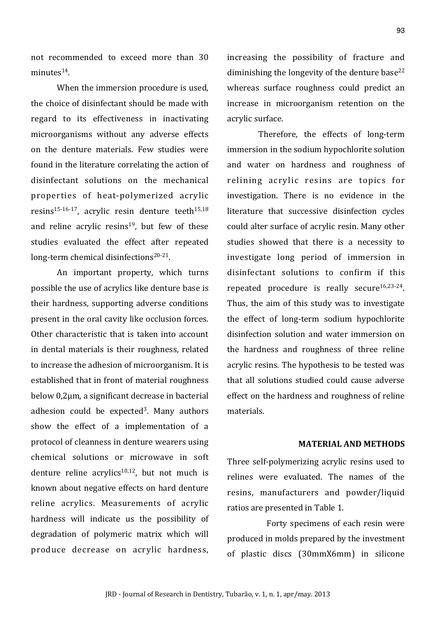not recommended to exceed more than  $30$ minutes<sup>14</sup>

When the immersion procedure is used. the choice of disinfectant should be made with regard to its effectiveness in inactivating microorganisms without any adverse effects on the denture materials. Few studies were found in the literature correlating the action of disinfectant solutions on the mechanical properties of heat-polymerized acrylic resins<sup>15-16-17</sup>, acrylic resin denture teeth<sup>15,18</sup> and reline acrylic  $resins^{19}$ , but few of these studies evaluated the effect after repeated long-term chemical disinfections<sup>20-21</sup>.

An important property, which turns possible the use of acrylics like denture base is their hardness, supporting adverse conditions present in the oral cavity like occlusion forces. Other characteristic that is taken into account in dental materials is their roughness, related to increase the adhesion of microorganism. It is established that in front of material roughness below  $0,2\mu$ m, a significant decrease in bacterial adhesion could be expected<sup>3</sup>. Many authors show the effect of a implementation of a protocol of cleanness in denture wearers using chemical solutions or microwave in soft denture reline  $\arctan(10,12)$ , but not much is known about negative effects on hard denture reline acrylics. Measurements of acrylic hardness will indicate us the possibility of degradation of polymeric matrix which will produce decrease on acrylic hardness,

increasing the possibility of fracture and diminishing the longevity of the denture base<sup>22</sup> whereas surface roughness could predict an increase in microorganism retention on the acrylic surface.

Therefore, the effects of long-term immersion in the sodium hypochlorite solution and water on hardness and roughness of relining acrylic resins are topics for investigation. There is no evidence in the literature that successive disinfection cycles could alter surface of acrylic resin. Many other studies showed that there is a necessity to investigate long period of immersion in disinfectant solutions to confirm if this repeated procedure is really secure<sup>16,23-24</sup>. Thus, the aim of this study was to investigate the effect of long-term sodium hypochlorite disinfection solution and water immersion on the hardness and roughness of three reline acrylic resins. The hypothesis to be tested was that all solutions studied could cause adverse effect on the hardness and roughness of reline materials.

#### **MATERIAL-AND-METHODS**

Three self-polymerizing acrylic resins used to relines were evaluated. The names of the resins, manufacturers and powder/liquid ratios are presented in Table 1.

Forty specimens of each resin were produced in molds prepared by the investment of plastic discs (30mmX6mm) in silicone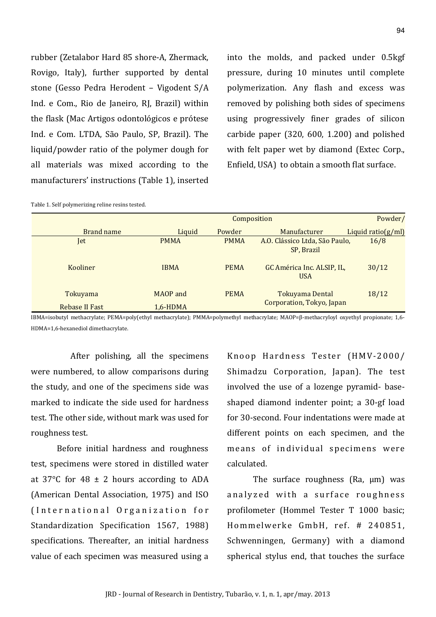rubber (Zetalabor Hard 85 shore-A, Zhermack, Rovigo, Italy), further supported by dental stone (Gesso Pedra Herodent - Vigodent S/A Ind. e Com., Rio de Janeiro, RJ, Brazil) within the flask (Mac Artigos odontológicos e prótese Ind. e Com. LTDA, São Paulo, SP, Brazil). The liquid/powder ratio of the polymer dough for all materials was mixed according to the manufacturers' instructions (Table 1), inserted

into the molds, and packed under 0.5kgf pressure, during 10 minutes until complete polymerization. Any flash and excess was removed by polishing both sides of specimens using progressively finer grades of silicon carbide paper (320, 600, 1.200) and polished with felt paper wet by diamond (Extec Corp., Enfield, USA) to obtain a smooth flat surface.

|                |              | Composition |                                              |                        |  |
|----------------|--------------|-------------|----------------------------------------------|------------------------|--|
| Brand name     | Liquid       | Powder      | Manufacturer                                 | Liquid ratio( $g/ml$ ) |  |
| Jet            | <b>PMMA</b>  | <b>PMMA</b> | A.O. Clássico Ltda, São Paulo,<br>SP, Brazil | 16/8                   |  |
| Kooliner       | <b>IBMA</b>  | <b>PEMA</b> | GC América Inc. ALSIP, IL,<br><b>USA</b>     | 30/12                  |  |
| Tokuyama       | MAOP and     | <b>PEMA</b> | Tokuyama Dental                              | 18/12                  |  |
| Rebase II Fast | $1.6 - HDMA$ |             | Corporation, Tokyo, Japan                    |                        |  |

Table 1. Self polymerizing reline resins tested.

IBMA=isobutyl methacrylate; PEMA=poly(ethyl methacrylate); PMMA=polymethyl methacrylate; MAOP=ß-methacryloyl oxyethyl propionate; 1,6-HDMA=1,6-hexanediol dimethacrylate.

After polishing, all the specimens were numbered, to allow comparisons during the study, and one of the specimens side was marked to indicate the side used for hardness test. The other side, without mark was used for roughness test.

Before initial hardness and roughness test, specimens were stored in distilled water at 37 $\degree$ C for 48  $\pm$  2 hours according to ADA (American Dental Association, 1975) and ISO (International Organization for Standardization Specification 1567, 1988) specifications. Thereafter, an initial hardness value of each specimen was measured using a Knoop Hardness Tester (HMV-2000/ Shimadzu Corporation, Japan). The test involved the use of a lozenge pyramid- baseshaped diamond indenter point; a 30-gf load for 30-second. Four indentations were made at different points on each specimen, and the means of individual specimens were calculated.

The surface roughness (Ra, µm) was analyzed with a surface roughness profilometer (Hommel Tester T 1000 basic; Hommelwerke GmbH, ref. # 240851, Schwenningen, Germany) with a diamond spherical stylus end, that touches the surface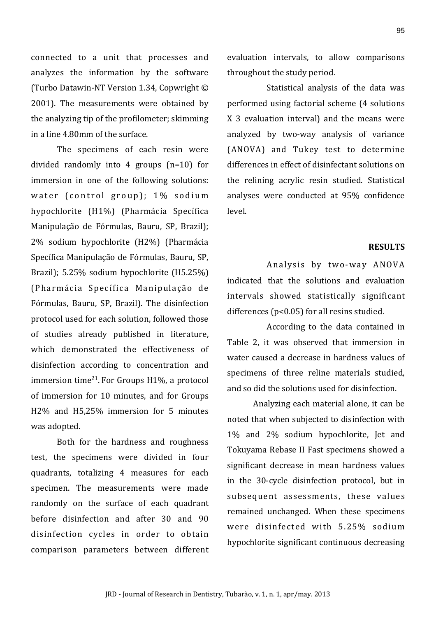connected to a unit that processes and analyzes the information by the software (Turbo Datawin-NT Version 1.34, Copwright © 2001). The measurements were obtained by the analyzing tip of the profilometer: skimming in a line  $4.80$ mm of the surface

The specimens of each resin were divided randomly into 4 groups  $(n=10)$  for immersion in one of the following solutions: water (control group); 1% sodium hypochlorite (H1%) (Pharmácia Specífica Manipulação de Fórmulas, Bauru, SP, Brazil); 2% sodium hypochlorite (H2%) (Pharmácia Specífica Manipulação de Fórmulas, Bauru, SP, Brazil); 5.25% sodium hypochlorite (H5.25%) (Pharmácia Specífica Manipulação de Fórmulas, Bauru, SP, Brazil). The disinfection protocol used for each solution, followed those of studies already published in literature, which demonstrated the effectiveness of disinfection according to concentration and immersion time<sup>21</sup>. For Groups  $H1\%$ , a protocol of immersion for 10 minutes, and for Groups H2% and H5,25% immersion for 5 minutes was adopted.

Both for the hardness and roughness test, the specimens were divided in four quadrants, totalizing 4 measures for each specimen. The measurements were made randomly on the surface of each quadrant before disinfection and after 30 and 90 disinfection cycles in order to obtain comparison parameters between different evaluation intervals, to allow comparisons throughout the study period.

Statistical analysis of the data was performed using factorial scheme (4 solutions) X 3 evaluation interval) and the means were analyzed by two-way analysis of variance (ANOVA) and Tukey test to determine differences in effect of disinfectant solutions on the relining acrylic resin studied. Statistical analyses were conducted at 95% confidence level.

## **RESULTS**

Analysis by two-way ANOVA indicated that the solutions and evaluation intervals showed statistically significant differences (p<0.05) for all resins studied.

According to the data contained in Table 2, it was observed that immersion in water caused a decrease in hardness values of specimens of three reline materials studied, and so did the solutions used for disinfection.

Analyzing each material alone, it can be noted that when subjected to disinfection with 1% and 2% sodium hypochlorite, Jet and Tokuyama Rebase II Fast specimens showed a significant decrease in mean hardness values in the 30-cycle disinfection protocol, but in subsequent assessments, these values remained unchanged. When these specimens were disinfected with 5.25% sodium hypochlorite significant continuous decreasing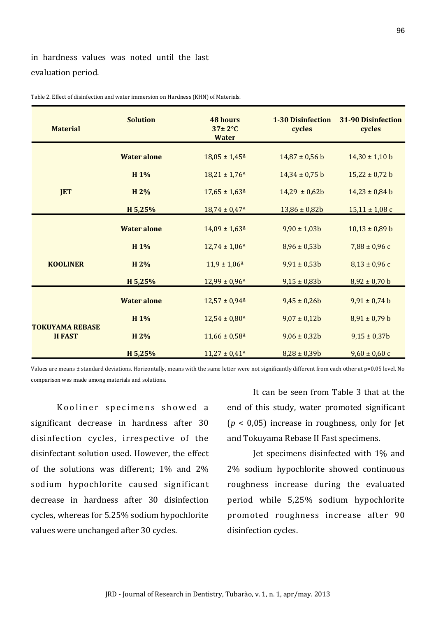in hardness values was noted until the last evaluation period.

| <b>Material</b>                          | <b>Solution</b>    | <b>48 hours</b><br>$37 \pm 2$ °C<br><b>Water</b> | <b>1-30 Disinfection</b><br>cycles | 31-90 Disinfection<br>cycles |
|------------------------------------------|--------------------|--------------------------------------------------|------------------------------------|------------------------------|
|                                          | <b>Water alone</b> | $18,05 \pm 1,45^{\underline{a}}$                 | $14,87 \pm 0,56$ b                 | $14,30 \pm 1,10$ b           |
|                                          | H 1%               | $18,21 \pm 1,76$ <sup>a</sup>                    | $14,34 \pm 0,75$ b                 | $15,22 \pm 0,72$ b           |
| <b>JET</b>                               | H 2%               | $17,65 \pm 1,63$ <sup>a</sup>                    | $14,29 \pm 0,62b$                  | $14,23 \pm 0,84$ b           |
|                                          | H 5,25%            | $18,74 \pm 0,47^{\underline{a}}$                 | $13,86 \pm 0,82b$                  | $15,11 \pm 1,08$ c           |
|                                          | <b>Water alone</b> | $14,09 \pm 1,63$ <sup>a</sup>                    | $9,90 \pm 1,03b$                   | $10,13 \pm 0,89$ b           |
|                                          | H 1%               | $12,74 \pm 1,06^{\underline{a}}$                 | $8,96 \pm 0,53b$                   | $7,88 \pm 0,96$ c            |
| <b>KOOLINER</b>                          | H 2%               | $11,9 \pm 1,06^{\underline{a}}$                  | $9,91 \pm 0,53b$                   | $8,13 \pm 0,96$ c            |
|                                          | H 5,25%            | $12,99 \pm 0,96^{\underline{a}}$                 | $9,15 \pm 0,83b$                   | $8,92 \pm 0,70$ b            |
|                                          | <b>Water alone</b> | $12,57 \pm 0.94^{\underline{a}}$                 | $9,45 \pm 0,26b$                   | $9,91 \pm 0,74$ b            |
|                                          | H 1%               | $12,54 \pm 0,80^{\underline{a}}$                 | $9,07 \pm 0,12b$                   | $8,91 \pm 0,79$ b            |
| <b>TOKUYAMA REBASE</b><br><b>II FAST</b> | H 2%               | $11,66 \pm 0.58$ <sup>a</sup>                    | $9,06 \pm 0,32b$                   | $9,15 \pm 0,37$ b            |
|                                          | H 5,25%            | $11,27 \pm 0,41^{\underline{a}}$                 | $8,28 \pm 0,39b$                   | $9,60 \pm 0,60$ c            |

Table 2. Effect of disinfection and water immersion on Hardness (KHN) of Materials.

Values are means ± standard deviations. Horizontally, means with the same letter were not significantly different from each other at p=0.05 level. No comparison was made among materials and solutions.

Kooliner specimens showed a significant decrease in hardness after 30 disinfection cycles, irrespective of the disinfectant solution used. However, the effect of the solutions was different;  $1\%$  and  $2\%$ sodium hypochlorite caused significant decrease in hardness after 30 disinfection cycles, whereas for  $5.25\%$  sodium hypochlorite values were unchanged after 30 cycles.

It can be seen from Table 3 that at the end of this study, water promoted significant ( $p < 0.05$ ) increase in roughness, only for Jet and Tokuyama Rebase II Fast specimens.

Jet specimens disinfected with  $1\%$  and 2% sodium hypochlorite showed continuous roughness increase during the evaluated period while 5,25% sodium hypochlorite promoted roughness increase after 90 disinfection cycles.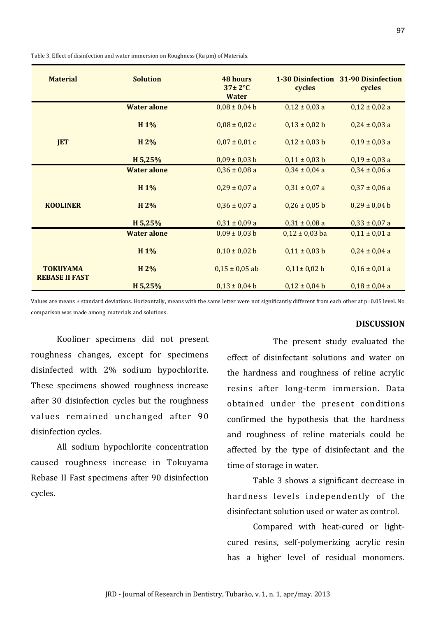Table 3. Effect of disinfection and water immersion on Roughness (Ra um) of Materials.

| <b>Material</b>                          | <b>Solution</b>    | <b>48 hours</b><br>$37\pm2$ °C<br><b>Water</b> | cycles             | 1-30 Disinfection 31-90 Disinfection<br>cycles |
|------------------------------------------|--------------------|------------------------------------------------|--------------------|------------------------------------------------|
|                                          | <b>Water alone</b> | $0.08 \pm 0.04$ b                              | $0,12 \pm 0,03$ a  | $0,12 \pm 0,02$ a                              |
|                                          | H 1%               | $0,08 \pm 0,02$ c                              | $0,13 \pm 0,02$ b  | $0,24 \pm 0,03$ a                              |
| <b>JET</b>                               | H 2%               | $0.07 \pm 0.01$ c                              | $0,12 \pm 0,03$ b  | $0,19 \pm 0,03$ a                              |
|                                          | H 5,25%            | $0,09 \pm 0,03$ b                              | $0,11 \pm 0,03$ b  | $0,19 \pm 0,03$ a                              |
|                                          | <b>Water alone</b> | $0,36 \pm 0,08$ a                              | $0,34 \pm 0,04$ a  | $0,34 \pm 0,06$ a                              |
|                                          | H 1%               | $0,29 \pm 0,07$ a                              | $0,31 \pm 0,07$ a  | $0,37 \pm 0,06$ a                              |
| <b>KOOLINER</b>                          | H 2%               | $0,36 \pm 0,07$ a                              | $0,26 \pm 0,05$ b  | $0,29 \pm 0,04$ b                              |
|                                          | H 5,25%            | $0,31 \pm 0,09$ a                              | $0,31 \pm 0,08$ a  | $0,33 \pm 0,07$ a                              |
|                                          | <b>Water alone</b> | $0.09 \pm 0.03 b$                              | $0,12 \pm 0,03$ ba | $0,11 \pm 0,01$ a                              |
|                                          | H 1%               | $0,10 \pm 0,02$ b                              | $0,11 \pm 0,03$ b  | $0,24 \pm 0,04$ a                              |
| <b>TOKUYAMA</b><br><b>REBASE II FAST</b> | H 2%               | $0,15 \pm 0,05$ ab                             | $0,11 \pm 0,02 b$  | $0,16 \pm 0,01$ a                              |
|                                          | H 5,25%            | $0,13 \pm 0,04$ b                              | $0,12 \pm 0,04$ b  | $0,18 \pm 0,04$ a                              |

Values are means ± standard deviations. Horizontally, means with the same letter were not significantly different from each other at p=0.05 level. No comparison was made among materials and solutions.

## **DISCUSSION**

Kooliner specimens did not present roughness changes, except for specimens disinfected with  $2\%$  sodium hypochlorite. These specimens showed roughness increase after 30 disinfection cycles but the roughness values remained unchanged after 90 disinfection cycles.

All sodium hypochlorite concentration caused roughness increase in Tokuyama Rebase II Fast specimens after 90 disinfection cycles.

The present study evaluated the effect of disinfectant solutions and water on the hardness and roughness of reline acrylic resins after long-term immersion. Data obtained under the present conditions confirmed the hypothesis that the hardness and roughness of reline materials could be affected by the type of disinfectant and the time of storage in water.

Table 3 shows a significant decrease in hardness levels independently of the disinfectant solution used or water as control.

Compared with heat-cured or lightcured resins, self-polymerizing acrylic resin has a higher level of residual monomers.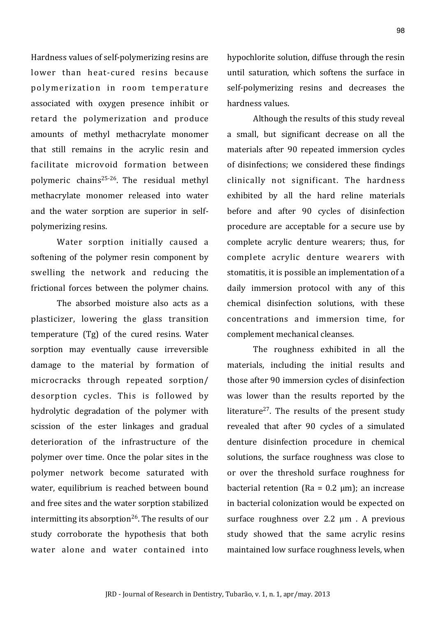Hardness values of self-polymerizing resins are lower than heat-cured resins because polymerization in room temperature associated with oxygen presence inhibit or retard the polymerization and produce amounts of methyl methacrylate monomer that still remains in the acrylic resin and facilitate microvoid formation between polymeric chains<sup>25-26</sup>. The residual methyl methacrylate monomer released into water and the water sorption are superior in selfpolymerizing resins.

Water sorption initially caused a softening of the polymer resin component by swelling the network and reducing the frictional forces between the polymer chains.

The absorbed moisture also acts as a plasticizer, lowering the glass transition temperature (Tg) of the cured resins. Water sorption may eventually cause irreversible damage to the material by formation of microcracks through repeated sorption/ desorption cycles. This is followed by hydrolytic degradation of the polymer with scission of the ester linkages and gradual deterioration of the infrastructure of the polymer over time. Once the polar sites in the polymer network become saturated with water, equilibrium is reached between bound and free sites and the water sorption stabilized intermitting its absorption<sup>26</sup>. The results of our study corroborate the hypothesis that both water alone and water contained into hypochlorite solution, diffuse through the resin until saturation, which softens the surface in self-polymerizing resins and decreases the hardness values

Although the results of this study reveal a small, but significant decrease on all the materials after 90 repeated immersion cycles of disinfections: we considered these findings clinically not significant. The hardness exhibited by all the hard reline materials before and after 90 cycles of disinfection procedure are acceptable for a secure use by complete acrylic denture wearers; thus, for complete acrylic denture wearers with stomatitis, it is possible an implementation of a daily immersion protocol with any of this chemical disinfection solutions, with these concentrations and immersion time, for complement mechanical cleanses.

The roughness exhibited in all the materials, including the initial results and those after 90 immersion cycles of disinfection was lower than the results reported by the literature<sup>27</sup>. The results of the present study revealed that after 90 cycles of a simulated denture disinfection procedure in chemical solutions, the surface roughness was close to or over the threshold surface roughness for bacterial retention ( $Ra = 0.2 \mu m$ ); an increase in bacterial colonization would be expected on surface roughness over 2.2 µm . A previous study showed that the same acrylic resins maintained low surface roughness levels, when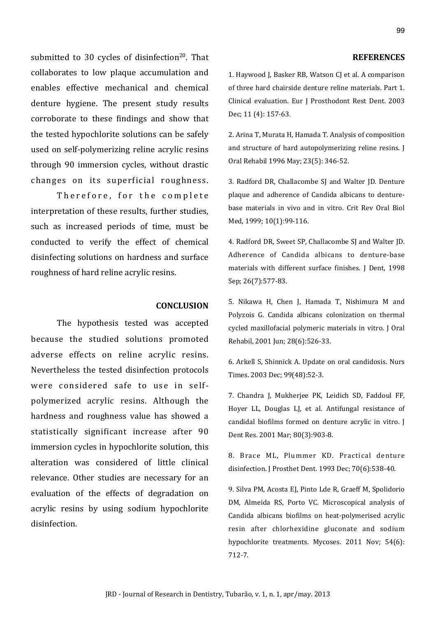submitted to 30 cycles of disinfection<sup>20</sup>. That collaborates to low plaque accumulation and enables effective mechanical and chemical denture hygiene. The present study results corroborate to these findings and show that the tested hypochlorite solutions can be safely used on self-polymerizing reline acrylic resins through 90 immersion cycles, without drastic changes on its superficial roughness.

Therefore, for the complete interpretation of these results, further studies, such as increased periods of time, must be conducted to verify the effect of chemical disinfecting solutions on hardness and surface roughness of hard reline acrylic resins.

#### **CONCLUSION**

The hypothesis tested was accepted because the studied solutions promoted adverse effects on reline acrylic resins. Nevertheless the tested disinfection protocols were considered safe to use in selfpolymerized acrylic resins. Although the hardness and roughness value has showed a statistically significant increase after 90 immersion cycles in hypochlorite solution, this alteration was considered of little clinical relevance. Other studies are necessary for an evaluation of the effects of degradation on acrylic resins by using sodium hypochlorite disinfection.

### **REFERENCES**

1. Haywood J, Basker RB, Watson CJ et al. A comparison of three hard chairside denture reline materials. Part 1. Clinical evaluation. Eur J Prosthodont Rest Dent. 2003 Dec; 11 (4): 157-63.

2. Arina T, Murata H, Hamada T. Analysis of composition and structure of hard autopolymerizing reline resins.  $J$ Oral Rehabil 1996 May; 23(5): 346-52.

3. Radford DR, Challacombe SJ and Walter JD. Denture plaque and adherence of Candida albicans to denturebase materials in vivo and in vitro. Crit Rev Oral Biol Med, 1999; 10(1):99-116.

4. Radford DR, Sweet SP, Challacombe SJ and Walter JD. Adherence of Candida albicans to denture-base materials with different surface finishes. J Dent, 1998 Sep; 26(7):577-83.

5. Nikawa H, Chen J, Hamada T, Nishimura M and Polyzois G. Candida albicans colonization on thermal cycled maxillofacial polymeric materials in vitro. J Oral Rehabil, 2001 Jun; 28(6):526-33.

6. Arkell S, Shinnick A. Update on oral candidosis. Nurs Times. 2003 Dec; 99(48):52-3.

7. Chandra J, Mukherjee PK, Leidich SD, Faddoul FF, Hoyer LL, Douglas LJ, et al. Antifungal resistance of candidal biofilms formed on denture acrylic in vitro. I Dent Res. 2001 Mar; 80(3):903-8.

8. Brace ML, Plummer KD. Practical denture disinfection. J Prosthet Dent. 1993 Dec; 70(6):538-40.

9. Silva PM, Acosta EJ, Pinto Lde R, Graeff M, Spolidorio DM, Almeida RS, Porto VC. Microscopical analysis of Candida albicans biofilms on heat-polymerised acrylic resin after chlorhexidine gluconate and sodium hypochlorite treatments. Mycoses. 2011 Nov; 54(6): 712<7.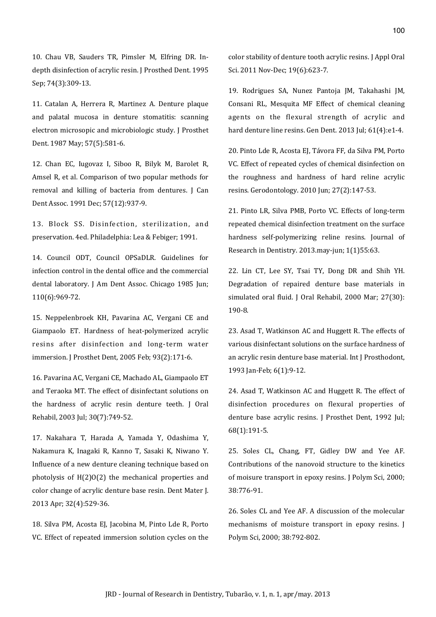10. Chau VB, Sauders TR, Pimsler M, Elfring DR. Indepth disinfection of acrylic resin. J Prosthed Dent. 1995 Sep; 74(3):309-13.

11. Catalan A, Herrera R, Martinez A. Denture plaque and palatal mucosa in denture stomatitis: scanning electron microsopic and microbiologic study. J Prosthet Dent. 1987 May: 57(5):581-6.

12. Chan EC, Iugovaz I, Siboo R, Bilyk M, Barolet R, Amsel R, et al. Comparison of two popular methods for removal and killing of bacteria from dentures. J Can Dent Assoc. 1991 Dec; 57(12):937-9.

13. Block SS. Disinfection, sterilization, and preservation. 4ed. Philadelphia: Lea & Febiger; 1991.

14. Council ODT, Council OPSaDLR, Guidelines for infection control in the dental office and the commercial dental laboratory. J Am Dent Assoc. Chicago 1985 Jun; 110(6):969-72.

15. Neppelenbroek KH, Pavarina AC, Vergani CE and Giampaolo ET. Hardness of heat-polymerized acrylic resins after disinfection and long-term water immersion. J Prosthet Dent, 2005 Feb; 93(2):171-6.

16. Pavarina AC, Vergani CE, Machado AL, Giampaolo ET and Teraoka MT. The effect of disinfectant solutions on the hardness of acrylic resin denture teeth. J Oral Rehabil, 2003 Jul; 30(7):749-52.

17. Nakahara T, Harada A, Yamada Y, Odashima Y, Nakamura K, Inagaki R, Kanno T, Sasaki K, Niwano Y. Influence of a new denture cleaning technique based on photolysis of  $H(2)O(2)$  the mechanical properties and color change of acrylic denture base resin. Dent Mater J. 2013 Apr; 32(4):529-36.

18. Silva PM, Acosta EJ, Jacobina M, Pinto Lde R, Porto VC. Effect of repeated immersion solution cycles on the color stability of denture tooth acrylic resins. J Appl Oral Sci. 2011 Nov-Dec; 19(6):623-7.

19. Rodrigues SA, Nunez Pantoja JM, Takahashi JM, Consani RL, Mesquita MF Effect of chemical cleaning agents on the flexural strength of acrylic and hard denture line resins. Gen Dent. 2013 Jul; 61(4):e1-4.

20. Pinto Lde R, Acosta EJ, Távora FF, da Silva PM, Porto VC. Effect of repeated cycles of chemical disinfection on the roughness and hardness of hard reline acrylic resins. Gerodontology. 2010 Jun; 27(2):147-53.

21. Pinto LR, Silva PMB, Porto VC. Effects of long-term repeated chemical disinfection treatment on the surface hardness self-polymerizing reline resins. Journal of Research in Dentistry. 2013.may-jun; 1(1)55:63.

22. Lin CT, Lee SY, Tsai TY, Dong DR and Shih YH. Degradation of repaired denture base materials in simulated oral fluid. J Oral Rehabil, 2000 Mar; 27(30): 190-8.

23. Asad T, Watkinson AC and Huggett R. The effects of various disinfectant solutions on the surface hardness of an acrylic resin denture base material. Int J Prosthodont, 1993 Jan-Feb; 6(1):9-12.

24. Asad T, Watkinson AC and Huggett R. The effect of disinfection procedures on flexural properties of denture base acrylic resins. J Prosthet Dent, 1992 Jul;  $68(1):191-5.$ 

25. Soles CL, Chang, FT, Gidley DW and Yee AF. Contributions of the nanovoid structure to the kinetics of moisure transport in epoxy resins. J Polym Sci, 2000; 38:776-91.

26. Soles CL and Yee AF. A discussion of the molecular mechanisms of moisture transport in epoxy resins. J Polym Sci, 2000; 38:792-802.